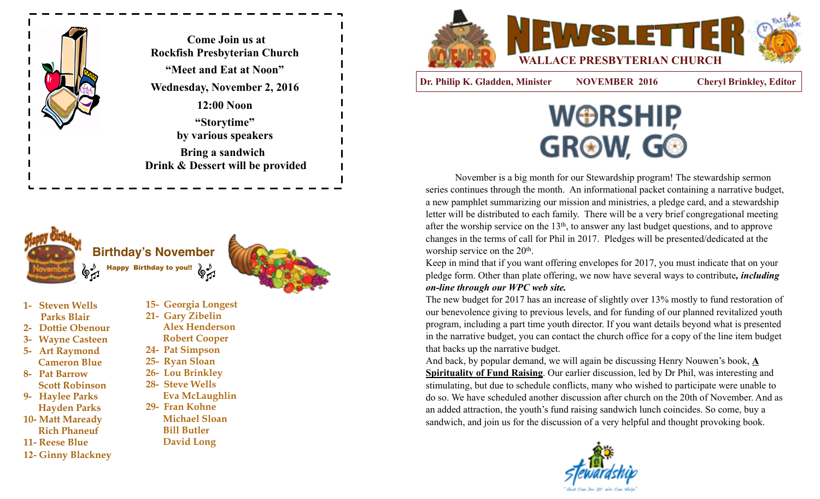

**Come Join us at Rockfish Presbyterian Church "Meet and Eat at Noon" Wednesday, November 2, 2016 12:00 Noon "Storytime" by various speakers Bring a sandwich Drink & Dessert will be provided**





- **1- Steven Wells Parks Blair**
- **2- Dottie Obenour**
- **3- Wayne Casteen**
- **5- Art Raymond Cameron Blue**
- **8- Pat Barrow Scott Robinson**
- **9- Haylee Parks Hayden Parks**
- **10- Matt Maready Rich Phaneuf**
- **11- Reese Blue**
- **12- Ginny Blackney**
- **15- Georgia Longest 21- Gary Zibelin Alex Henderson Robert Cooper 24- Pat Simpson**
- **25- Ryan Sloan**
- **26- Lou Brinkley**
- **28- Steve Wells** 
	- **Eva McLaughlin**
- **29- Fran Kohne Michael Sloan Bill Butler David Long**



**Dr. Philip K. Gladden, Minister NOVEMBER 2016 Cheryl Brinkley, Editor**



 November is a big month for our Stewardship program! The stewardship sermon series continues through the month. An informational packet containing a narrative budget, a new pamphlet summarizing our mission and ministries, a pledge card, and a stewardship letter will be distributed to each family. There will be a very brief congregational meeting after the worship service on the 13th, to answer any last budget questions, and to approve changes in the terms of call for Phil in 2017. Pledges will be presented/dedicated at the worship service on the 20<sup>th</sup>.

Keep in mind that if you want offering envelopes for 2017, you must indicate that on your pledge form. Other than plate offering, we now have several ways to contribute*, including on-line through our WPC web site.* 

The new budget for 2017 has an increase of slightly over 13% mostly to fund restoration of our benevolence giving to previous levels, and for funding of our planned revitalized youth program, including a part time youth director. If you want details beyond what is presented in the narrative budget, you can contact the church office for a copy of the line item budget that backs up the narrative budget.

And back, by popular demand, we will again be discussing Henry Nouwen's book, **A Spirituality of Fund Raising**. Our earlier discussion, led by Dr Phil, was interesting and stimulating, but due to schedule conflicts, many who wished to participate were unable to do so. We have scheduled another discussion after church on the 20th of November. And as an added attraction, the youth's fund raising sandwich lunch coincides. So come, buy a sandwich, and join us for the discussion of a very helpful and thought provoking book.





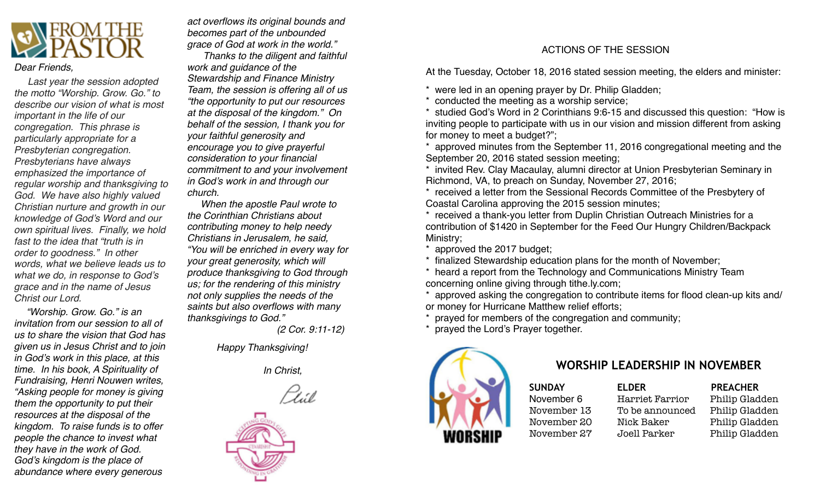

#### *Dear Friends,*

 *Last year the session adopted the motto "Worship. Grow. Go." to describe our vision of what is most important in the life of our congregation. This phrase is particularly appropriate for a Presbyterian congregation. Presbyterians have always emphasized the importance of regular worship and thanksgiving to God. We have also highly valued Christian nurture and growth in our knowledge of God's Word and our own spiritual lives. Finally, we hold fast to the idea that "truth is in order to goodness." In other words, what we believe leads us to what we do, in response to God's grace and in the name of Jesus Christ our Lord.*

 *"Worship. Grow. Go." is an invitation from our session to all of us to share the vision that God has given us in Jesus Christ and to join in God's work in this place, at this time. In his book, A Spirituality of Fundraising, Henri Nouwen writes, "Asking people for money is giving them the opportunity to put their resources at the disposal of the kingdom. To raise funds is to offer people the chance to invest what they have in the work of God. God's kingdom is the place of abundance where every generous* 

*act overflows its original bounds and becomes part of the unbounded grace of God at work in the world."*

 *Thanks to the diligent and faithful work and guidance of the Stewardship and Finance Ministry Team, the session is offering all of us "the opportunity to put our resources at the disposal of the kingdom." On behalf of the session, I thank you for your faithful generosity and encourage you to give prayerful consideration to your financial commitment to and your involvement in God's work in and through our church.*

 *When the apostle Paul wrote to the Corinthian Christians about contributing money to help needy Christians in Jerusalem, he said, "You will be enriched in every way for your great generosity, which will produce thanksgiving to God through us; for the rendering of this ministry not only supplies the needs of the saints but also overflows with many thanksgivings to God."* 

 *(2 Cor. 9:11-12)*

*Happy Thanksgiving!*



#### ACTIONS OF THE SESSION

At the Tuesday, October 18, 2016 stated session meeting, the elders and minister:

\* were led in an opening prayer by Dr. Philip Gladden;

\* conducted the meeting as a worship service;

\* studied God's Word in 2 Corinthians 9:6-15 and discussed this question: "How is inviting people to participate with us in our vision and mission different from asking for money to meet a budget?";

\* approved minutes from the September 11, 2016 congregational meeting and the September 20, 2016 stated session meeting;

\* invited Rev. Clay Macaulay, alumni director at Union Presbyterian Seminary in Richmond, VA, to preach on Sunday, November 27, 2016;

\* received a letter from the Sessional Records Committee of the Presbytery of Coastal Carolina approving the 2015 session minutes;

\* received a thank-you letter from Duplin Christian Outreach Ministries for a contribution of \$1420 in September for the Feed Our Hungry Children/Backpack Ministry;

\* approved the 2017 budget;

\* finalized Stewardship education plans for the month of November;

\* heard a report from the Technology and Communications Ministry Team concerning online giving through [tithe.ly.com;](http://tithe.ly.com)

approved asking the congregation to contribute items for flood clean-up kits and/ or money for Hurricane Matthew relief efforts;

prayed for members of the congregation and community;

prayed the Lord's Prayer together.



# *In Christ,* **WORSHIP LEADERSHIP IN NOVEMBER**

SUNDAY **ELDER** PREACHER

November 6 Harriet Farrior Philip Gladden November 13 To be announced Philip Gladden November 20 Nick Baker Philip Gladden November 27 Joell Parker Philip Gladden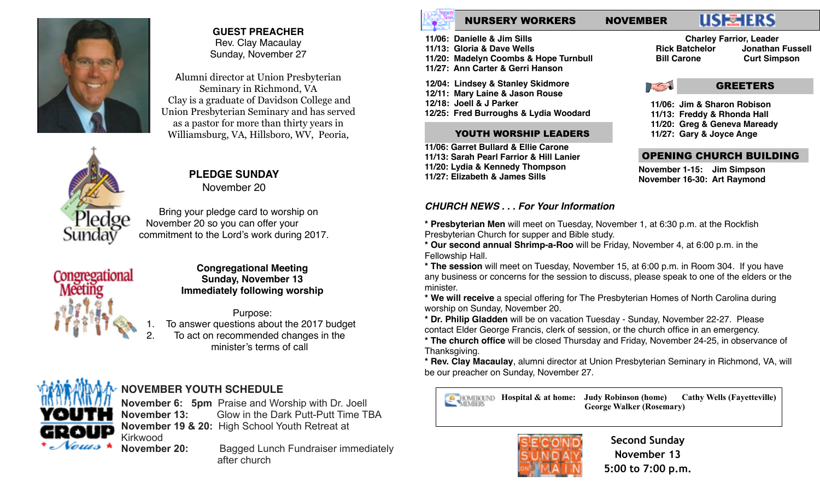

#### **GUEST PREACHER** Rev. Clay Macaulay Sunday, November 27

Alumni director at Union Presbyterian Seminary in Richmond, VA Clay is a graduate of Davidson College and Union Presbyterian Seminary and has served as a pastor for more than thirty years in Williamsburg, VA, Hillsboro, WV, Peoria,



# **PLEDGE SUNDAY**

November 20

 Bring your pledge card to worship on November 20 so you can offer your commitment to the Lord's work during 2017.



#### **Congregational Meeting Sunday, November 13 Immediately following worship**

Purpose: To answer questions about the 2017 budget 2. To act on recommended changes in the minister's terms of call



# **NOVEMBER YOUTH SCHEDULE**

**November 6: 5pm** Praise and Worship with Dr. Joell **November 13:** Glow in the Dark Putt-Putt Time TBA **November 19 & 20:** High School Youth Retreat at Kirkwood

**November 20:** Bagged Lunch Fundraiser immediately after church

## NURSERY WORKERS NOVEMBER

# **USE TERS**

**11/06: Danielle & Jim Sills 11/13: Gloria & Dave Wells 11/20: Madelyn Coombs & Hope Turnbull 11/27: Ann Carter & Gerri Hanson**

**12/04: Lindsey & Stanley Skidmore 12/11: Mary Laine & Jason Rouse 12/18: Joell & J Parker 12/25: Fred Burroughs & Lydia Woodard**

#### YOUTH WORSHIP LEADERS

**11/06: Garret Bullard & Ellie Carone 11/13: Sarah Pearl Farrior & Hill Lanier 11/20: Lydia & Kennedy Thompson 11/27: Elizabeth & James Sills**

#### *CHURCH NEWS . . . For Your Information*

**\* Presbyterian Men** will meet on Tuesday, November 1, at 6:30 p.m. at the Rockfish Presbyterian Church for supper and Bible study.

**\* Our second annual Shrimp-a-Roo** will be Friday, November 4, at 6:00 p.m. in the Fellowship Hall.

**\* The session** will meet on Tuesday, November 15, at 6:00 p.m. in Room 304. If you have any business or concerns for the session to discuss, please speak to one of the elders or the minister.

**\* We will receive** a special offering for The Presbyterian Homes of North Carolina during worship on Sunday, November 20.

**\* Dr. Philip Gladden** will be on vacation Tuesday - Sunday, November 22-27. Please contact Elder George Francis, clerk of session, or the church office in an emergency.

**\* The church office** will be closed Thursday and Friday, November 24-25, in observance of Thanksgiving.

**\* Rev. Clay Macaulay**, alumni director at Union Presbyterian Seminary in Richmond, VA, will be our preacher on Sunday, November 27.

 **Hospital & at home: Judy Robinson (home) Cathy Wells (Fayetteville) George Walker (Rosemary)**



**Second Sunday November 13 5:00 to 7:00 p.m.** 

**Charley Farrior, Leader Rick Batchelor Jonathan Fussell Bill Carone Curt Simpson** 

15 GREETERS

**11/06: Jim & Sharon Robison**

**11/13: Freddy & Rhonda Hall**

**11/20: Greg & Geneva Maready**

**11/27: Gary & Joyce Ange**

#### OPENING CHURCH BUILDING

**November 1-15: Jim Simpson November 16-30: Art Raymond**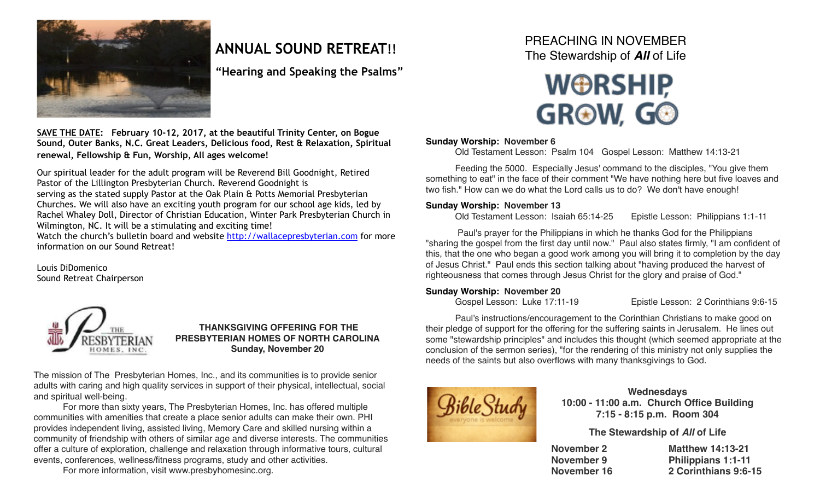

# **ANNUAL SOUND RETREAT!!**

**"Hearing and Speaking the Psalms"**

**SAVE THE DATE: February 10-12, 2017, at the beautiful Trinity Center, on Bogue Sound, Outer Banks, N.C. Great Leaders, Delicious food, Rest & Relaxation, Spiritual renewal, Fellowship & Fun, Worship, All ages welcome!** 

Our spiritual leader for the adult program will be Reverend Bill Goodnight, Retired Pastor of the Lillington Presbyterian Church. Reverend Goodnight is serving as the stated supply Pastor at the Oak Plain & Potts Memorial Presbyterian Churches. We will also have an exciting youth program for our school age kids, led by Rachel Whaley Doll, Director of Christian Education, Winter Park Presbyterian Church in Wilmington, NC. It will be a stimulating and exciting time!

Watch the church's bulletin board and website <http://wallacepresbyterian.com> for more information on our Sound Retreat!

Louis DiDomenico Sound Retreat Chairperson



#### **THANKSGIVING OFFERING FOR THE PRESBYTERIAN HOMES OF NORTH CAROLINA Sunday, November 20**

The mission of The Presbyterian Homes, Inc., and its communities is to provide senior adults with caring and high quality services in support of their physical, intellectual, social and spiritual well-being.

For more than sixty years, The Presbyterian Homes, Inc. has offered multiple communities with amenities that create a place senior adults can make their own. PHI provides independent living, assisted living, Memory Care and skilled nursing within a community of friendship with others of similar age and diverse interests. The communities offer a culture of exploration, challenge and relaxation through informative tours, cultural events, conferences, wellness/fitness programs, study and other activities.

For more information, visit [www.presbyhomesinc.org.](http://www.presbyhomesinc.org)

## PREACHING IN NOVEMBER The Stewardship of *All* of Life



#### **Sunday Worship: November 6**

Old Testament Lesson: Psalm 104 Gospel Lesson: Matthew 14:13-21

Feeding the 5000. Especially Jesus' command to the disciples, "You give them something to eat" in the face of their comment "We have nothing here but five loaves and two fish." How can we do what the Lord calls us to do? We don't have enough!

#### **Sunday Worship: November 13**

Old Testament Lesson: Isaiah 65:14-25 Epistle Lesson: Philippians 1:1-11 !

! Paul's prayer for the Philippians in which he thanks God for the Philippians "sharing the gospel from the first day until now." Paul also states firmly, "I am confident of this, that the one who began a good work among you will bring it to completion by the day of Jesus Christ." Paul ends this section talking about "having produced the harvest of righteousness that comes through Jesus Christ for the glory and praise of God."

#### **Sunday Worship: November 20**

Gospel Lesson: Luke 17:11-19! ! Epistle Lesson: 2 Corinthians 9:6-15

Paul's instructions/encouragement to the Corinthian Christians to make good on their pledge of support for the offering for the suffering saints in Jerusalem. He lines out some "stewardship principles" and includes this thought (which seemed appropriate at the conclusion of the sermon series), "for the rendering of this ministry not only supplies the needs of the saints but also overflows with many thanksgivings to God.



#### **Wednesdays**

**10:00 - 11:00 a.m. Church Office Building 7:15 - 8:15 p.m. Room 304**

#### **The Stewardship of** *All* **of Life**

| November 2  | <b>Matthew 14:13-21</b>   |
|-------------|---------------------------|
| November 9  | <b>Philippians 1:1-11</b> |
| November 16 | 2 Corinthians 9:6-15      |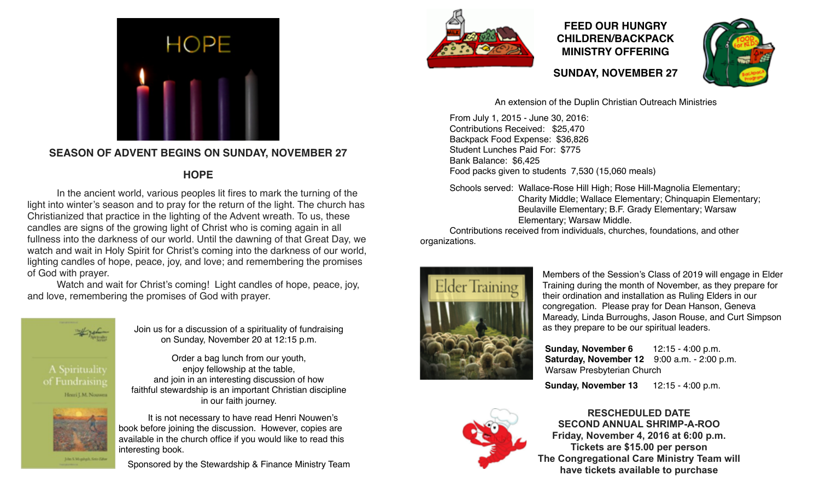

## **SEASON OF ADVENT BEGINS ON SUNDAY, NOVEMBER 27**

### **HOPE**

In the ancient world, various peoples lit fires to mark the turning of the light into winter's season and to pray for the return of the light. The church has Christianized that practice in the lighting of the Advent wreath. To us, these candles are signs of the growing light of Christ who is coming again in all fullness into the darkness of our world. Until the dawning of that Great Day, we watch and wait in Holy Spirit for Christ's coming into the darkness of our world, lighting candles of hope, peace, joy, and love; and remembering the promises of God with prayer.

Watch and wait for Christ's coming! Light candles of hope, peace, joy, and love, remembering the promises of God with prayer.



Join us for a discussion of a spirituality of fundraising on Sunday, November 20 at 12:15 p.m.

Order a bag lunch from our youth, enjoy fellowship at the table, and join in an interesting discussion of how faithful stewardship is an important Christian discipline in our faith journey.

It is not necessary to have read Henri Nouwen's book before joining the discussion. However, copies are available in the church office if you would like to read this interesting book.

Sponsored by the Stewardship & Finance Ministry Team



## **FEED OUR HUNGRY CHILDREN/BACKPACK MINISTRY OFFERING**



**SUNDAY, NOVEMBER 27**

An extension of the Duplin Christian Outreach Ministries

From July 1, 2015 - June 30, 2016: Contributions Received: \$25,470 Backpack Food Expense: \$36,826 Student Lunches Paid For: \$775 Bank Balance: \$6,425 Food packs given to students 7,530 (15,060 meals)

Schools served: Wallace-Rose Hill High; Rose Hill-Magnolia Elementary; Charity Middle; Wallace Elementary; Chinquapin Elementary; Beulaville Elementary; B.F. Grady Elementary; Warsaw Elementary; Warsaw Middle.

Contributions received from individuals, churches, foundations, and other organizations.



Members of the Session's Class of 2019 will engage in Elder Training during the month of November, as they prepare for their ordination and installation as Ruling Elders in our congregation. Please pray for Dean Hanson, Geneva Maready, Linda Burroughs, Jason Rouse, and Curt Simpson as they prepare to be our spiritual leaders.

 **Sunday, November 6** 12:15 - 4:00 p.m.  **Saturday, November 12** 9:00 a.m. - 2:00 p.m. Warsaw Presbyterian Church

 **Sunday, November 13** 12:15 - 4:00 p.m.



**RESCHEDULED DATE SECOND ANNUAL SHRIMP-A-ROO Friday, November 4, 2016 at 6:00 p.m. Tickets are \$15.00 per person The Congregational Care Ministry Team will have tickets available to purchase**